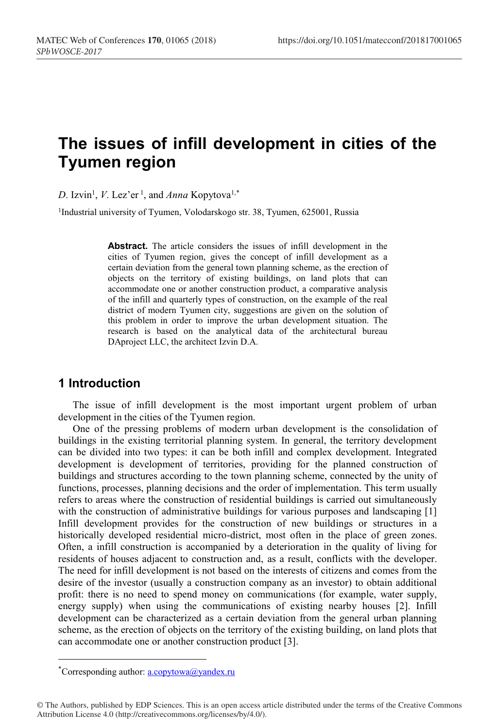# **The issues of infill development in cities of the Tyumen region**

D. Izvin<sup>1</sup>, *V*. Lez'er<sup>1</sup>, and *Anna* Kopytova<sup>1,\*</sup>

<sup>1</sup>Industrial university of Tyumen, Volodarskogo str. 38, Tyumen, 625001, Russia

**Abstract.** The article considers the issues of infill development in the cities of Tyumen region, gives the concept of infill development as a certain deviation from the general town planning scheme, as the erection of objects on the territory of existing buildings, on land plots that can accommodate one or another construction product, a comparative analysis of the infill and quarterly types of construction, on the example of the real district of modern Tyumen city, suggestions are given on the solution of this problem in order to improve the urban development situation. The research is based on the analytical data of the architectural bureau DAproject LLC, the architect Izvin D.A.

## **1 Introduction**

The issue of infill development is the most important urgent problem of urban development in the cities of the Tyumen region.

One of the pressing problems of modern urban development is the consolidation of buildings in the existing territorial planning system. In general, the territory development can be divided into two types: it can be both infill and complex development. Integrated development is development of territories, providing for the planned construction of buildings and structures according to the town planning scheme, connected by the unity of functions, processes, planning decisions and the order of implementation. This term usually refers to areas where the construction of residential buildings is carried out simultaneously with the construction of administrative buildings for various purposes and landscaping [1] Infill development provides for the construction of new buildings or structures in a historically developed residential micro-district, most often in the place of green zones. Often, a infill construction is accompanied by a deterioration in the quality of living for residents of houses adjacent to construction and, as a result, conflicts with the developer. The need for infill development is not based on the interests of citizens and comes from the desire of the investor (usually a construction company as an investor) to obtain additional profit: there is no need to spend money on communications (for example, water supply, energy supply) when using the communications of existing nearby houses [2]. Infill development can be characterized as a certain deviation from the general urban planning scheme, as the erection of objects on the territory of the existing building, on land plots that can accommodate one or another construction product [3].

 <sup>\*</sup> Corresponding author:  $a$ .copytowa@yandex.ru

<sup>©</sup> The Authors, published by EDP Sciences. This is an open access article distributed under the terms of the Creative Commons Attribution License 4.0 (http://creativecommons.org/licenses/by/4.0/).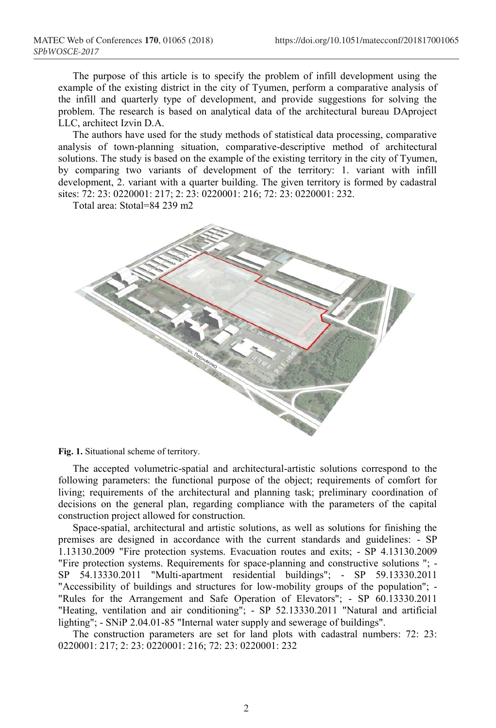The purpose of this article is to specify the problem of infill development using the example of the existing district in the city of Tyumen, perform a comparative analysis of the infill and quarterly type of development, and provide suggestions for solving the problem. The research is based on analytical data of the architectural bureau DAproject LLC, architect Izvin D.A.

The authors have used for the study methods of statistical data processing, comparative analysis of town-planning situation, comparative-descriptive method of architectural solutions. The study is based on the example of the existing territory in the city of Tyumen, by comparing two variants of development of the territory: 1. variant with infill development, 2. variant with a quarter building. The given territory is formed by cadastral sites: 72: 23: 0220001: 217; 2: 23: 0220001: 216; 72: 23: 0220001: 232.

Total area: Stotal=84 239 m2



**Fig. 1.** Situational scheme of territory.

The accepted volumetric-spatial and architectural-artistic solutions correspond to the following parameters: the functional purpose of the object; requirements of comfort for living; requirements of the architectural and planning task; preliminary coordination of decisions on the general plan, regarding compliance with the parameters of the capital construction project allowed for construction.

Space-spatial, architectural and artistic solutions, as well as solutions for finishing the premises are designed in accordance with the current standards and guidelines: - SP 1.13130.2009 "Fire protection systems. Evacuation routes and exits; - SP 4.13130.2009 "Fire protection systems. Requirements for space-planning and constructive solutions "; - SP 54.13330.2011 "Multi-apartment residential buildings"; - SP 59.13330.2011 "Accessibility of buildings and structures for low-mobility groups of the population"; - "Rules for the Arrangement and Safe Operation of Elevators"; - SP 60.13330.2011 "Heating, ventilation and air conditioning"; - SP 52.13330.2011 "Natural and artificial lighting"; - SNiP 2.04.01-85 "Internal water supply and sewerage of buildings".

The construction parameters are set for land plots with cadastral numbers: 72: 23: 0220001: 217; 2: 23: 0220001: 216; 72: 23: 0220001: 232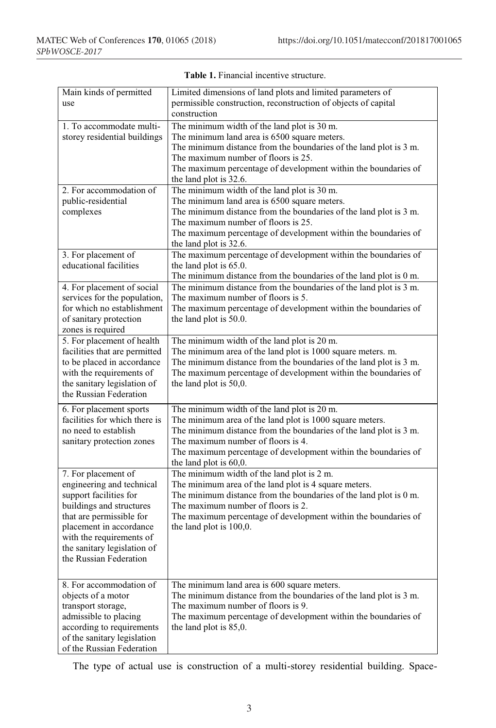| permissible construction, reconstruction of objects of capital<br>use<br>construction<br>1. To accommodate multi-<br>The minimum width of the land plot is 30 m.<br>storey residential buildings<br>The minimum land area is 6500 square meters.<br>The minimum distance from the boundaries of the land plot is 3 m.<br>The maximum number of floors is 25.<br>The maximum percentage of development within the boundaries of<br>the land plot is 32.6.<br>2. For accommodation of<br>The minimum width of the land plot is 30 m.<br>public-residential<br>The minimum land area is 6500 square meters.<br>The minimum distance from the boundaries of the land plot is 3 m.<br>complexes<br>The maximum number of floors is 25.<br>The maximum percentage of development within the boundaries of<br>the land plot is 32.6.<br>The maximum percentage of development within the boundaries of<br>3. For placement of<br>educational facilities<br>the land plot is 65.0.<br>The minimum distance from the boundaries of the land plot is 0 m.<br>The minimum distance from the boundaries of the land plot is 3 m.<br>4. For placement of social<br>services for the population,<br>The maximum number of floors is 5.<br>for which no establishment<br>The maximum percentage of development within the boundaries of<br>of sanitary protection<br>the land plot is 50.0.<br>zones is required<br>5. For placement of health<br>The minimum width of the land plot is 20 m.<br>facilities that are permitted<br>The minimum area of the land plot is 1000 square meters. m.<br>to be placed in accordance<br>The minimum distance from the boundaries of the land plot is 3 m.<br>with the requirements of<br>The maximum percentage of development within the boundaries of<br>the sanitary legislation of<br>the land plot is $50,0$ .<br>the Russian Federation<br>The minimum width of the land plot is 20 m.<br>6. For placement sports<br>facilities for which there is<br>The minimum area of the land plot is 1000 square meters.<br>no need to establish<br>The minimum distance from the boundaries of the land plot is 3 m.<br>The maximum number of floors is 4.<br>sanitary protection zones<br>The maximum percentage of development within the boundaries of<br>the land plot is $60,0$ .<br>7. For placement of<br>The minimum width of the land plot is 2 m.<br>engineering and technical<br>The minimum area of the land plot is 4 square meters.<br>The minimum distance from the boundaries of the land plot is 0 m.<br>support facilities for<br>buildings and structures<br>The maximum number of floors is 2.<br>that are permissible for<br>The maximum percentage of development within the boundaries of<br>placement in accordance<br>the land plot is 100,0.<br>with the requirements of<br>the sanitary legislation of<br>the Russian Federation<br>8. For accommodation of<br>The minimum land area is 600 square meters.<br>The minimum distance from the boundaries of the land plot is 3 m.<br>objects of a motor<br>The maximum number of floors is 9.<br>transport storage,<br>admissible to placing<br>The maximum percentage of development within the boundaries of<br>according to requirements<br>the land plot is $85,0$ .<br>of the sanitary legislation |                           |                                                            |
|-------------------------------------------------------------------------------------------------------------------------------------------------------------------------------------------------------------------------------------------------------------------------------------------------------------------------------------------------------------------------------------------------------------------------------------------------------------------------------------------------------------------------------------------------------------------------------------------------------------------------------------------------------------------------------------------------------------------------------------------------------------------------------------------------------------------------------------------------------------------------------------------------------------------------------------------------------------------------------------------------------------------------------------------------------------------------------------------------------------------------------------------------------------------------------------------------------------------------------------------------------------------------------------------------------------------------------------------------------------------------------------------------------------------------------------------------------------------------------------------------------------------------------------------------------------------------------------------------------------------------------------------------------------------------------------------------------------------------------------------------------------------------------------------------------------------------------------------------------------------------------------------------------------------------------------------------------------------------------------------------------------------------------------------------------------------------------------------------------------------------------------------------------------------------------------------------------------------------------------------------------------------------------------------------------------------------------------------------------------------------------------------------------------------------------------------------------------------------------------------------------------------------------------------------------------------------------------------------------------------------------------------------------------------------------------------------------------------------------------------------------------------------------------------------------------------------------------------------------------------------------------------------------------------------------------------------------------------------------------------------------------------------------------------------------------------------------------------------------------------------------------------------------------------------------------------------------------------------------------------------------------------------------------------------------|---------------------------|------------------------------------------------------------|
|                                                                                                                                                                                                                                                                                                                                                                                                                                                                                                                                                                                                                                                                                                                                                                                                                                                                                                                                                                                                                                                                                                                                                                                                                                                                                                                                                                                                                                                                                                                                                                                                                                                                                                                                                                                                                                                                                                                                                                                                                                                                                                                                                                                                                                                                                                                                                                                                                                                                                                                                                                                                                                                                                                                                                                                                                                                                                                                                                                                                                                                                                                                                                                                                                                                                                                       | Main kinds of permitted   | Limited dimensions of land plots and limited parameters of |
|                                                                                                                                                                                                                                                                                                                                                                                                                                                                                                                                                                                                                                                                                                                                                                                                                                                                                                                                                                                                                                                                                                                                                                                                                                                                                                                                                                                                                                                                                                                                                                                                                                                                                                                                                                                                                                                                                                                                                                                                                                                                                                                                                                                                                                                                                                                                                                                                                                                                                                                                                                                                                                                                                                                                                                                                                                                                                                                                                                                                                                                                                                                                                                                                                                                                                                       |                           |                                                            |
|                                                                                                                                                                                                                                                                                                                                                                                                                                                                                                                                                                                                                                                                                                                                                                                                                                                                                                                                                                                                                                                                                                                                                                                                                                                                                                                                                                                                                                                                                                                                                                                                                                                                                                                                                                                                                                                                                                                                                                                                                                                                                                                                                                                                                                                                                                                                                                                                                                                                                                                                                                                                                                                                                                                                                                                                                                                                                                                                                                                                                                                                                                                                                                                                                                                                                                       |                           |                                                            |
|                                                                                                                                                                                                                                                                                                                                                                                                                                                                                                                                                                                                                                                                                                                                                                                                                                                                                                                                                                                                                                                                                                                                                                                                                                                                                                                                                                                                                                                                                                                                                                                                                                                                                                                                                                                                                                                                                                                                                                                                                                                                                                                                                                                                                                                                                                                                                                                                                                                                                                                                                                                                                                                                                                                                                                                                                                                                                                                                                                                                                                                                                                                                                                                                                                                                                                       |                           |                                                            |
|                                                                                                                                                                                                                                                                                                                                                                                                                                                                                                                                                                                                                                                                                                                                                                                                                                                                                                                                                                                                                                                                                                                                                                                                                                                                                                                                                                                                                                                                                                                                                                                                                                                                                                                                                                                                                                                                                                                                                                                                                                                                                                                                                                                                                                                                                                                                                                                                                                                                                                                                                                                                                                                                                                                                                                                                                                                                                                                                                                                                                                                                                                                                                                                                                                                                                                       |                           |                                                            |
|                                                                                                                                                                                                                                                                                                                                                                                                                                                                                                                                                                                                                                                                                                                                                                                                                                                                                                                                                                                                                                                                                                                                                                                                                                                                                                                                                                                                                                                                                                                                                                                                                                                                                                                                                                                                                                                                                                                                                                                                                                                                                                                                                                                                                                                                                                                                                                                                                                                                                                                                                                                                                                                                                                                                                                                                                                                                                                                                                                                                                                                                                                                                                                                                                                                                                                       |                           |                                                            |
|                                                                                                                                                                                                                                                                                                                                                                                                                                                                                                                                                                                                                                                                                                                                                                                                                                                                                                                                                                                                                                                                                                                                                                                                                                                                                                                                                                                                                                                                                                                                                                                                                                                                                                                                                                                                                                                                                                                                                                                                                                                                                                                                                                                                                                                                                                                                                                                                                                                                                                                                                                                                                                                                                                                                                                                                                                                                                                                                                                                                                                                                                                                                                                                                                                                                                                       |                           |                                                            |
|                                                                                                                                                                                                                                                                                                                                                                                                                                                                                                                                                                                                                                                                                                                                                                                                                                                                                                                                                                                                                                                                                                                                                                                                                                                                                                                                                                                                                                                                                                                                                                                                                                                                                                                                                                                                                                                                                                                                                                                                                                                                                                                                                                                                                                                                                                                                                                                                                                                                                                                                                                                                                                                                                                                                                                                                                                                                                                                                                                                                                                                                                                                                                                                                                                                                                                       |                           |                                                            |
|                                                                                                                                                                                                                                                                                                                                                                                                                                                                                                                                                                                                                                                                                                                                                                                                                                                                                                                                                                                                                                                                                                                                                                                                                                                                                                                                                                                                                                                                                                                                                                                                                                                                                                                                                                                                                                                                                                                                                                                                                                                                                                                                                                                                                                                                                                                                                                                                                                                                                                                                                                                                                                                                                                                                                                                                                                                                                                                                                                                                                                                                                                                                                                                                                                                                                                       |                           |                                                            |
|                                                                                                                                                                                                                                                                                                                                                                                                                                                                                                                                                                                                                                                                                                                                                                                                                                                                                                                                                                                                                                                                                                                                                                                                                                                                                                                                                                                                                                                                                                                                                                                                                                                                                                                                                                                                                                                                                                                                                                                                                                                                                                                                                                                                                                                                                                                                                                                                                                                                                                                                                                                                                                                                                                                                                                                                                                                                                                                                                                                                                                                                                                                                                                                                                                                                                                       |                           |                                                            |
|                                                                                                                                                                                                                                                                                                                                                                                                                                                                                                                                                                                                                                                                                                                                                                                                                                                                                                                                                                                                                                                                                                                                                                                                                                                                                                                                                                                                                                                                                                                                                                                                                                                                                                                                                                                                                                                                                                                                                                                                                                                                                                                                                                                                                                                                                                                                                                                                                                                                                                                                                                                                                                                                                                                                                                                                                                                                                                                                                                                                                                                                                                                                                                                                                                                                                                       |                           |                                                            |
|                                                                                                                                                                                                                                                                                                                                                                                                                                                                                                                                                                                                                                                                                                                                                                                                                                                                                                                                                                                                                                                                                                                                                                                                                                                                                                                                                                                                                                                                                                                                                                                                                                                                                                                                                                                                                                                                                                                                                                                                                                                                                                                                                                                                                                                                                                                                                                                                                                                                                                                                                                                                                                                                                                                                                                                                                                                                                                                                                                                                                                                                                                                                                                                                                                                                                                       |                           |                                                            |
|                                                                                                                                                                                                                                                                                                                                                                                                                                                                                                                                                                                                                                                                                                                                                                                                                                                                                                                                                                                                                                                                                                                                                                                                                                                                                                                                                                                                                                                                                                                                                                                                                                                                                                                                                                                                                                                                                                                                                                                                                                                                                                                                                                                                                                                                                                                                                                                                                                                                                                                                                                                                                                                                                                                                                                                                                                                                                                                                                                                                                                                                                                                                                                                                                                                                                                       |                           |                                                            |
|                                                                                                                                                                                                                                                                                                                                                                                                                                                                                                                                                                                                                                                                                                                                                                                                                                                                                                                                                                                                                                                                                                                                                                                                                                                                                                                                                                                                                                                                                                                                                                                                                                                                                                                                                                                                                                                                                                                                                                                                                                                                                                                                                                                                                                                                                                                                                                                                                                                                                                                                                                                                                                                                                                                                                                                                                                                                                                                                                                                                                                                                                                                                                                                                                                                                                                       |                           |                                                            |
|                                                                                                                                                                                                                                                                                                                                                                                                                                                                                                                                                                                                                                                                                                                                                                                                                                                                                                                                                                                                                                                                                                                                                                                                                                                                                                                                                                                                                                                                                                                                                                                                                                                                                                                                                                                                                                                                                                                                                                                                                                                                                                                                                                                                                                                                                                                                                                                                                                                                                                                                                                                                                                                                                                                                                                                                                                                                                                                                                                                                                                                                                                                                                                                                                                                                                                       |                           |                                                            |
|                                                                                                                                                                                                                                                                                                                                                                                                                                                                                                                                                                                                                                                                                                                                                                                                                                                                                                                                                                                                                                                                                                                                                                                                                                                                                                                                                                                                                                                                                                                                                                                                                                                                                                                                                                                                                                                                                                                                                                                                                                                                                                                                                                                                                                                                                                                                                                                                                                                                                                                                                                                                                                                                                                                                                                                                                                                                                                                                                                                                                                                                                                                                                                                                                                                                                                       |                           |                                                            |
|                                                                                                                                                                                                                                                                                                                                                                                                                                                                                                                                                                                                                                                                                                                                                                                                                                                                                                                                                                                                                                                                                                                                                                                                                                                                                                                                                                                                                                                                                                                                                                                                                                                                                                                                                                                                                                                                                                                                                                                                                                                                                                                                                                                                                                                                                                                                                                                                                                                                                                                                                                                                                                                                                                                                                                                                                                                                                                                                                                                                                                                                                                                                                                                                                                                                                                       |                           |                                                            |
|                                                                                                                                                                                                                                                                                                                                                                                                                                                                                                                                                                                                                                                                                                                                                                                                                                                                                                                                                                                                                                                                                                                                                                                                                                                                                                                                                                                                                                                                                                                                                                                                                                                                                                                                                                                                                                                                                                                                                                                                                                                                                                                                                                                                                                                                                                                                                                                                                                                                                                                                                                                                                                                                                                                                                                                                                                                                                                                                                                                                                                                                                                                                                                                                                                                                                                       |                           |                                                            |
|                                                                                                                                                                                                                                                                                                                                                                                                                                                                                                                                                                                                                                                                                                                                                                                                                                                                                                                                                                                                                                                                                                                                                                                                                                                                                                                                                                                                                                                                                                                                                                                                                                                                                                                                                                                                                                                                                                                                                                                                                                                                                                                                                                                                                                                                                                                                                                                                                                                                                                                                                                                                                                                                                                                                                                                                                                                                                                                                                                                                                                                                                                                                                                                                                                                                                                       |                           |                                                            |
|                                                                                                                                                                                                                                                                                                                                                                                                                                                                                                                                                                                                                                                                                                                                                                                                                                                                                                                                                                                                                                                                                                                                                                                                                                                                                                                                                                                                                                                                                                                                                                                                                                                                                                                                                                                                                                                                                                                                                                                                                                                                                                                                                                                                                                                                                                                                                                                                                                                                                                                                                                                                                                                                                                                                                                                                                                                                                                                                                                                                                                                                                                                                                                                                                                                                                                       |                           |                                                            |
|                                                                                                                                                                                                                                                                                                                                                                                                                                                                                                                                                                                                                                                                                                                                                                                                                                                                                                                                                                                                                                                                                                                                                                                                                                                                                                                                                                                                                                                                                                                                                                                                                                                                                                                                                                                                                                                                                                                                                                                                                                                                                                                                                                                                                                                                                                                                                                                                                                                                                                                                                                                                                                                                                                                                                                                                                                                                                                                                                                                                                                                                                                                                                                                                                                                                                                       |                           |                                                            |
|                                                                                                                                                                                                                                                                                                                                                                                                                                                                                                                                                                                                                                                                                                                                                                                                                                                                                                                                                                                                                                                                                                                                                                                                                                                                                                                                                                                                                                                                                                                                                                                                                                                                                                                                                                                                                                                                                                                                                                                                                                                                                                                                                                                                                                                                                                                                                                                                                                                                                                                                                                                                                                                                                                                                                                                                                                                                                                                                                                                                                                                                                                                                                                                                                                                                                                       |                           |                                                            |
|                                                                                                                                                                                                                                                                                                                                                                                                                                                                                                                                                                                                                                                                                                                                                                                                                                                                                                                                                                                                                                                                                                                                                                                                                                                                                                                                                                                                                                                                                                                                                                                                                                                                                                                                                                                                                                                                                                                                                                                                                                                                                                                                                                                                                                                                                                                                                                                                                                                                                                                                                                                                                                                                                                                                                                                                                                                                                                                                                                                                                                                                                                                                                                                                                                                                                                       |                           |                                                            |
|                                                                                                                                                                                                                                                                                                                                                                                                                                                                                                                                                                                                                                                                                                                                                                                                                                                                                                                                                                                                                                                                                                                                                                                                                                                                                                                                                                                                                                                                                                                                                                                                                                                                                                                                                                                                                                                                                                                                                                                                                                                                                                                                                                                                                                                                                                                                                                                                                                                                                                                                                                                                                                                                                                                                                                                                                                                                                                                                                                                                                                                                                                                                                                                                                                                                                                       |                           |                                                            |
|                                                                                                                                                                                                                                                                                                                                                                                                                                                                                                                                                                                                                                                                                                                                                                                                                                                                                                                                                                                                                                                                                                                                                                                                                                                                                                                                                                                                                                                                                                                                                                                                                                                                                                                                                                                                                                                                                                                                                                                                                                                                                                                                                                                                                                                                                                                                                                                                                                                                                                                                                                                                                                                                                                                                                                                                                                                                                                                                                                                                                                                                                                                                                                                                                                                                                                       |                           |                                                            |
|                                                                                                                                                                                                                                                                                                                                                                                                                                                                                                                                                                                                                                                                                                                                                                                                                                                                                                                                                                                                                                                                                                                                                                                                                                                                                                                                                                                                                                                                                                                                                                                                                                                                                                                                                                                                                                                                                                                                                                                                                                                                                                                                                                                                                                                                                                                                                                                                                                                                                                                                                                                                                                                                                                                                                                                                                                                                                                                                                                                                                                                                                                                                                                                                                                                                                                       |                           |                                                            |
|                                                                                                                                                                                                                                                                                                                                                                                                                                                                                                                                                                                                                                                                                                                                                                                                                                                                                                                                                                                                                                                                                                                                                                                                                                                                                                                                                                                                                                                                                                                                                                                                                                                                                                                                                                                                                                                                                                                                                                                                                                                                                                                                                                                                                                                                                                                                                                                                                                                                                                                                                                                                                                                                                                                                                                                                                                                                                                                                                                                                                                                                                                                                                                                                                                                                                                       |                           |                                                            |
|                                                                                                                                                                                                                                                                                                                                                                                                                                                                                                                                                                                                                                                                                                                                                                                                                                                                                                                                                                                                                                                                                                                                                                                                                                                                                                                                                                                                                                                                                                                                                                                                                                                                                                                                                                                                                                                                                                                                                                                                                                                                                                                                                                                                                                                                                                                                                                                                                                                                                                                                                                                                                                                                                                                                                                                                                                                                                                                                                                                                                                                                                                                                                                                                                                                                                                       |                           |                                                            |
|                                                                                                                                                                                                                                                                                                                                                                                                                                                                                                                                                                                                                                                                                                                                                                                                                                                                                                                                                                                                                                                                                                                                                                                                                                                                                                                                                                                                                                                                                                                                                                                                                                                                                                                                                                                                                                                                                                                                                                                                                                                                                                                                                                                                                                                                                                                                                                                                                                                                                                                                                                                                                                                                                                                                                                                                                                                                                                                                                                                                                                                                                                                                                                                                                                                                                                       |                           |                                                            |
|                                                                                                                                                                                                                                                                                                                                                                                                                                                                                                                                                                                                                                                                                                                                                                                                                                                                                                                                                                                                                                                                                                                                                                                                                                                                                                                                                                                                                                                                                                                                                                                                                                                                                                                                                                                                                                                                                                                                                                                                                                                                                                                                                                                                                                                                                                                                                                                                                                                                                                                                                                                                                                                                                                                                                                                                                                                                                                                                                                                                                                                                                                                                                                                                                                                                                                       |                           |                                                            |
|                                                                                                                                                                                                                                                                                                                                                                                                                                                                                                                                                                                                                                                                                                                                                                                                                                                                                                                                                                                                                                                                                                                                                                                                                                                                                                                                                                                                                                                                                                                                                                                                                                                                                                                                                                                                                                                                                                                                                                                                                                                                                                                                                                                                                                                                                                                                                                                                                                                                                                                                                                                                                                                                                                                                                                                                                                                                                                                                                                                                                                                                                                                                                                                                                                                                                                       |                           |                                                            |
|                                                                                                                                                                                                                                                                                                                                                                                                                                                                                                                                                                                                                                                                                                                                                                                                                                                                                                                                                                                                                                                                                                                                                                                                                                                                                                                                                                                                                                                                                                                                                                                                                                                                                                                                                                                                                                                                                                                                                                                                                                                                                                                                                                                                                                                                                                                                                                                                                                                                                                                                                                                                                                                                                                                                                                                                                                                                                                                                                                                                                                                                                                                                                                                                                                                                                                       |                           |                                                            |
|                                                                                                                                                                                                                                                                                                                                                                                                                                                                                                                                                                                                                                                                                                                                                                                                                                                                                                                                                                                                                                                                                                                                                                                                                                                                                                                                                                                                                                                                                                                                                                                                                                                                                                                                                                                                                                                                                                                                                                                                                                                                                                                                                                                                                                                                                                                                                                                                                                                                                                                                                                                                                                                                                                                                                                                                                                                                                                                                                                                                                                                                                                                                                                                                                                                                                                       |                           |                                                            |
|                                                                                                                                                                                                                                                                                                                                                                                                                                                                                                                                                                                                                                                                                                                                                                                                                                                                                                                                                                                                                                                                                                                                                                                                                                                                                                                                                                                                                                                                                                                                                                                                                                                                                                                                                                                                                                                                                                                                                                                                                                                                                                                                                                                                                                                                                                                                                                                                                                                                                                                                                                                                                                                                                                                                                                                                                                                                                                                                                                                                                                                                                                                                                                                                                                                                                                       |                           |                                                            |
|                                                                                                                                                                                                                                                                                                                                                                                                                                                                                                                                                                                                                                                                                                                                                                                                                                                                                                                                                                                                                                                                                                                                                                                                                                                                                                                                                                                                                                                                                                                                                                                                                                                                                                                                                                                                                                                                                                                                                                                                                                                                                                                                                                                                                                                                                                                                                                                                                                                                                                                                                                                                                                                                                                                                                                                                                                                                                                                                                                                                                                                                                                                                                                                                                                                                                                       |                           |                                                            |
|                                                                                                                                                                                                                                                                                                                                                                                                                                                                                                                                                                                                                                                                                                                                                                                                                                                                                                                                                                                                                                                                                                                                                                                                                                                                                                                                                                                                                                                                                                                                                                                                                                                                                                                                                                                                                                                                                                                                                                                                                                                                                                                                                                                                                                                                                                                                                                                                                                                                                                                                                                                                                                                                                                                                                                                                                                                                                                                                                                                                                                                                                                                                                                                                                                                                                                       |                           |                                                            |
|                                                                                                                                                                                                                                                                                                                                                                                                                                                                                                                                                                                                                                                                                                                                                                                                                                                                                                                                                                                                                                                                                                                                                                                                                                                                                                                                                                                                                                                                                                                                                                                                                                                                                                                                                                                                                                                                                                                                                                                                                                                                                                                                                                                                                                                                                                                                                                                                                                                                                                                                                                                                                                                                                                                                                                                                                                                                                                                                                                                                                                                                                                                                                                                                                                                                                                       |                           |                                                            |
|                                                                                                                                                                                                                                                                                                                                                                                                                                                                                                                                                                                                                                                                                                                                                                                                                                                                                                                                                                                                                                                                                                                                                                                                                                                                                                                                                                                                                                                                                                                                                                                                                                                                                                                                                                                                                                                                                                                                                                                                                                                                                                                                                                                                                                                                                                                                                                                                                                                                                                                                                                                                                                                                                                                                                                                                                                                                                                                                                                                                                                                                                                                                                                                                                                                                                                       |                           |                                                            |
|                                                                                                                                                                                                                                                                                                                                                                                                                                                                                                                                                                                                                                                                                                                                                                                                                                                                                                                                                                                                                                                                                                                                                                                                                                                                                                                                                                                                                                                                                                                                                                                                                                                                                                                                                                                                                                                                                                                                                                                                                                                                                                                                                                                                                                                                                                                                                                                                                                                                                                                                                                                                                                                                                                                                                                                                                                                                                                                                                                                                                                                                                                                                                                                                                                                                                                       |                           |                                                            |
|                                                                                                                                                                                                                                                                                                                                                                                                                                                                                                                                                                                                                                                                                                                                                                                                                                                                                                                                                                                                                                                                                                                                                                                                                                                                                                                                                                                                                                                                                                                                                                                                                                                                                                                                                                                                                                                                                                                                                                                                                                                                                                                                                                                                                                                                                                                                                                                                                                                                                                                                                                                                                                                                                                                                                                                                                                                                                                                                                                                                                                                                                                                                                                                                                                                                                                       |                           |                                                            |
|                                                                                                                                                                                                                                                                                                                                                                                                                                                                                                                                                                                                                                                                                                                                                                                                                                                                                                                                                                                                                                                                                                                                                                                                                                                                                                                                                                                                                                                                                                                                                                                                                                                                                                                                                                                                                                                                                                                                                                                                                                                                                                                                                                                                                                                                                                                                                                                                                                                                                                                                                                                                                                                                                                                                                                                                                                                                                                                                                                                                                                                                                                                                                                                                                                                                                                       |                           |                                                            |
|                                                                                                                                                                                                                                                                                                                                                                                                                                                                                                                                                                                                                                                                                                                                                                                                                                                                                                                                                                                                                                                                                                                                                                                                                                                                                                                                                                                                                                                                                                                                                                                                                                                                                                                                                                                                                                                                                                                                                                                                                                                                                                                                                                                                                                                                                                                                                                                                                                                                                                                                                                                                                                                                                                                                                                                                                                                                                                                                                                                                                                                                                                                                                                                                                                                                                                       |                           |                                                            |
|                                                                                                                                                                                                                                                                                                                                                                                                                                                                                                                                                                                                                                                                                                                                                                                                                                                                                                                                                                                                                                                                                                                                                                                                                                                                                                                                                                                                                                                                                                                                                                                                                                                                                                                                                                                                                                                                                                                                                                                                                                                                                                                                                                                                                                                                                                                                                                                                                                                                                                                                                                                                                                                                                                                                                                                                                                                                                                                                                                                                                                                                                                                                                                                                                                                                                                       |                           |                                                            |
|                                                                                                                                                                                                                                                                                                                                                                                                                                                                                                                                                                                                                                                                                                                                                                                                                                                                                                                                                                                                                                                                                                                                                                                                                                                                                                                                                                                                                                                                                                                                                                                                                                                                                                                                                                                                                                                                                                                                                                                                                                                                                                                                                                                                                                                                                                                                                                                                                                                                                                                                                                                                                                                                                                                                                                                                                                                                                                                                                                                                                                                                                                                                                                                                                                                                                                       |                           |                                                            |
|                                                                                                                                                                                                                                                                                                                                                                                                                                                                                                                                                                                                                                                                                                                                                                                                                                                                                                                                                                                                                                                                                                                                                                                                                                                                                                                                                                                                                                                                                                                                                                                                                                                                                                                                                                                                                                                                                                                                                                                                                                                                                                                                                                                                                                                                                                                                                                                                                                                                                                                                                                                                                                                                                                                                                                                                                                                                                                                                                                                                                                                                                                                                                                                                                                                                                                       |                           |                                                            |
|                                                                                                                                                                                                                                                                                                                                                                                                                                                                                                                                                                                                                                                                                                                                                                                                                                                                                                                                                                                                                                                                                                                                                                                                                                                                                                                                                                                                                                                                                                                                                                                                                                                                                                                                                                                                                                                                                                                                                                                                                                                                                                                                                                                                                                                                                                                                                                                                                                                                                                                                                                                                                                                                                                                                                                                                                                                                                                                                                                                                                                                                                                                                                                                                                                                                                                       |                           |                                                            |
|                                                                                                                                                                                                                                                                                                                                                                                                                                                                                                                                                                                                                                                                                                                                                                                                                                                                                                                                                                                                                                                                                                                                                                                                                                                                                                                                                                                                                                                                                                                                                                                                                                                                                                                                                                                                                                                                                                                                                                                                                                                                                                                                                                                                                                                                                                                                                                                                                                                                                                                                                                                                                                                                                                                                                                                                                                                                                                                                                                                                                                                                                                                                                                                                                                                                                                       |                           |                                                            |
|                                                                                                                                                                                                                                                                                                                                                                                                                                                                                                                                                                                                                                                                                                                                                                                                                                                                                                                                                                                                                                                                                                                                                                                                                                                                                                                                                                                                                                                                                                                                                                                                                                                                                                                                                                                                                                                                                                                                                                                                                                                                                                                                                                                                                                                                                                                                                                                                                                                                                                                                                                                                                                                                                                                                                                                                                                                                                                                                                                                                                                                                                                                                                                                                                                                                                                       |                           |                                                            |
|                                                                                                                                                                                                                                                                                                                                                                                                                                                                                                                                                                                                                                                                                                                                                                                                                                                                                                                                                                                                                                                                                                                                                                                                                                                                                                                                                                                                                                                                                                                                                                                                                                                                                                                                                                                                                                                                                                                                                                                                                                                                                                                                                                                                                                                                                                                                                                                                                                                                                                                                                                                                                                                                                                                                                                                                                                                                                                                                                                                                                                                                                                                                                                                                                                                                                                       |                           |                                                            |
|                                                                                                                                                                                                                                                                                                                                                                                                                                                                                                                                                                                                                                                                                                                                                                                                                                                                                                                                                                                                                                                                                                                                                                                                                                                                                                                                                                                                                                                                                                                                                                                                                                                                                                                                                                                                                                                                                                                                                                                                                                                                                                                                                                                                                                                                                                                                                                                                                                                                                                                                                                                                                                                                                                                                                                                                                                                                                                                                                                                                                                                                                                                                                                                                                                                                                                       | of the Russian Federation |                                                            |

**Table 1.** Financial incentive structure.

The type of actual use is construction of a multi-storey residential building. Space-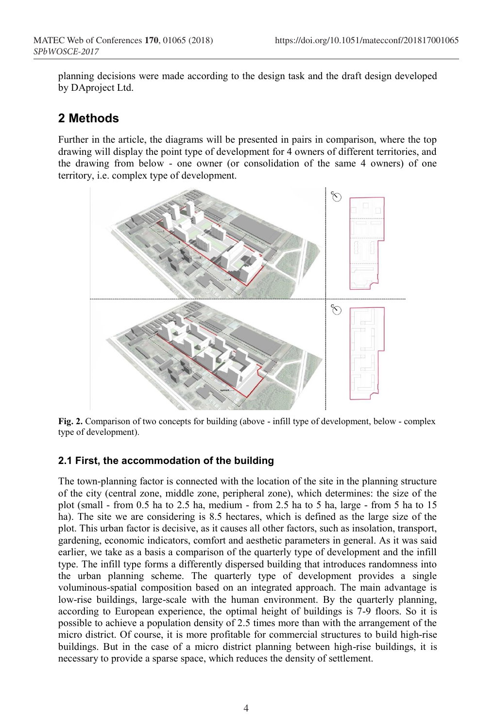planning decisions were made according to the design task and the draft design developed by DAproject Ltd.

# **2 Methods**

Further in the article, the diagrams will be presented in pairs in comparison, where the top drawing will display the point type of development for 4 owners of different territories, and the drawing from below - one owner (or consolidation of the same 4 owners) of one territory, i.e. complex type of development.



**Fig. 2.** Comparison of two concepts for building (above - infill type of development, below - complex type of development).

### **2.1 First, the accommodation of the building**

The town-planning factor is connected with the location of the site in the planning structure of the city (central zone, middle zone, peripheral zone), which determines: the size of the plot (small - from 0.5 ha to 2.5 ha, medium - from 2.5 ha to 5 ha, large - from 5 ha to 15 ha). The site we are considering is 8.5 hectares, which is defined as the large size of the plot. This urban factor is decisive, as it causes all other factors, such as insolation, transport, gardening, economic indicators, comfort and aesthetic parameters in general. As it was said earlier, we take as a basis a comparison of the quarterly type of development and the infill type. The infill type forms a differently dispersed building that introduces randomness into the urban planning scheme. The quarterly type of development provides a single voluminous-spatial composition based on an integrated approach. The main advantage is low-rise buildings, large-scale with the human environment. By the quarterly planning, according to European experience, the optimal height of buildings is 7-9 floors. So it is possible to achieve a population density of 2.5 times more than with the arrangement of the micro district. Of course, it is more profitable for commercial structures to build high-rise buildings. But in the case of a micro district planning between high-rise buildings, it is necessary to provide a sparse space, which reduces the density of settlement.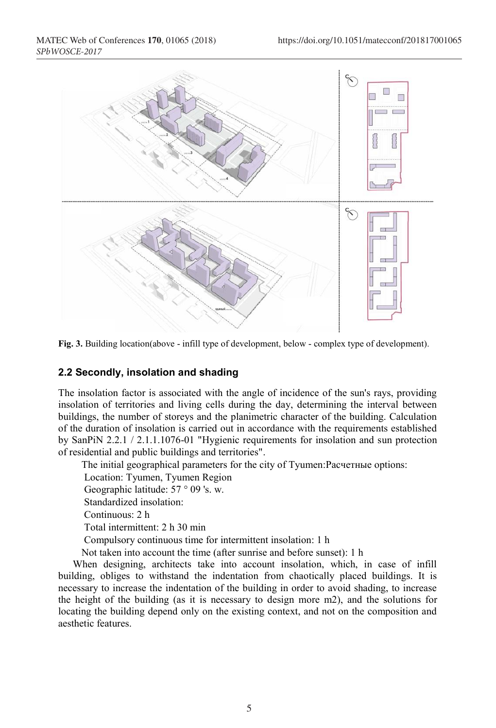

**Fig. 3.** Building location(above - infill type of development, below - complex type of development).

#### **2.2 Secondly, insolation and shading**

The insolation factor is associated with the angle of incidence of the sun's rays, providing insolation of territories and living cells during the day, determining the interval between buildings, the number of storeys and the planimetric character of the building. Calculation of the duration of insolation is carried out in accordance with the requirements established by SanPiN 2.2.1 / 2.1.1.1076-01 "Hygienic requirements for insolation and sun protection of residential and public buildings and territories".

The initial geographical parameters for the city of Tyumen:Расчетные options:

Location: Tyumen, Tyumen Region Geographic latitude: 57 ° 09 's. w. Standardized insolation: Continuous: 2 h

Total intermittent: 2 h 30 min

Compulsory continuous time for intermittent insolation: 1 h

Not taken into account the time (after sunrise and before sunset): 1 h

When designing, architects take into account insolation, which, in case of infill building, obliges to withstand the indentation from chaotically placed buildings. It is necessary to increase the indentation of the building in order to avoid shading, to increase the height of the building (as it is necessary to design more m2), and the solutions for locating the building depend only on the existing context, and not on the composition and aesthetic features.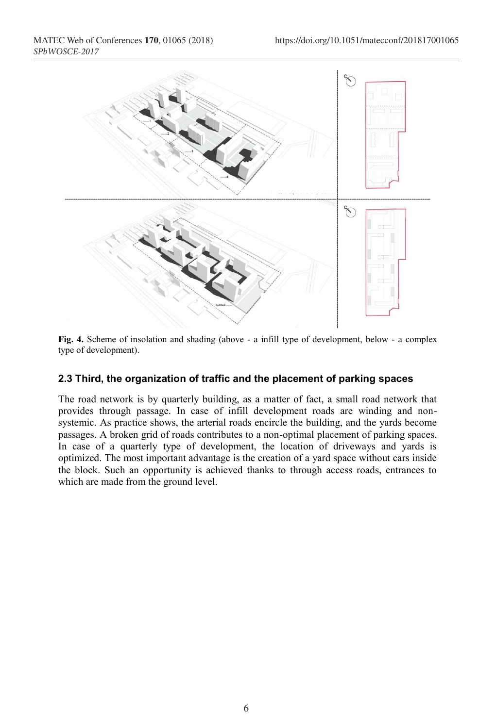

**Fig. 4.** Scheme of insolation and shading (above - a infill type of development, below - a complex type of development).

#### **2.3 Third, the organization of traffic and the placement of parking spaces**

The road network is by quarterly building, as a matter of fact, a small road network that provides through passage. In case of infill development roads are winding and nonsystemic. As practice shows, the arterial roads encircle the building, and the yards become passages. A broken grid of roads contributes to a non-optimal placement of parking spaces. In case of a quarterly type of development, the location of driveways and yards is optimized. The most important advantage is the creation of a yard space without cars inside the block. Such an opportunity is achieved thanks to through access roads, entrances to which are made from the ground level.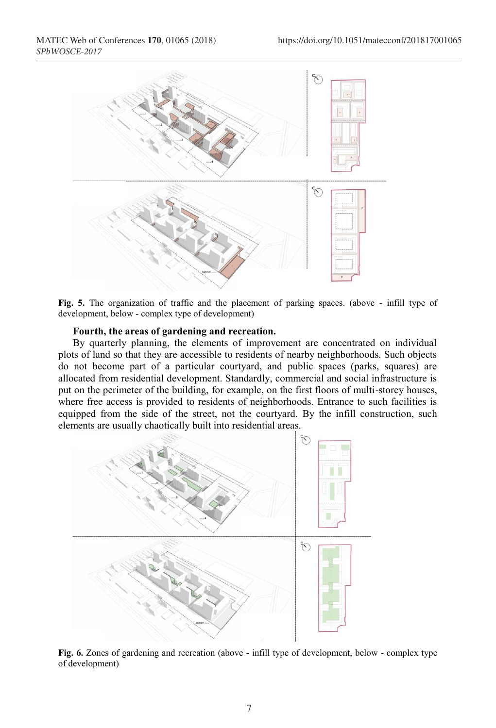

**Fig. 5.** The organization of traffic and the placement of parking spaces. (above - infill type of development, below - complex type of development)

#### **Fourth, the areas of gardening and recreation.**

By quarterly planning, the elements of improvement are concentrated on individual plots of land so that they are accessible to residents of nearby neighborhoods. Such objects do not become part of a particular courtyard, and public spaces (parks, squares) are allocated from residential development. Standardly, commercial and social infrastructure is put on the perimeter of the building, for example, on the first floors of multi-storey houses, where free access is provided to residents of neighborhoods. Entrance to such facilities is equipped from the side of the street, not the courtyard. By the infill construction, such elements are usually chaotically built into residential areas.



**Fig. 6.** Zones of gardening and recreation (above - infill type of development, below - complex type of development)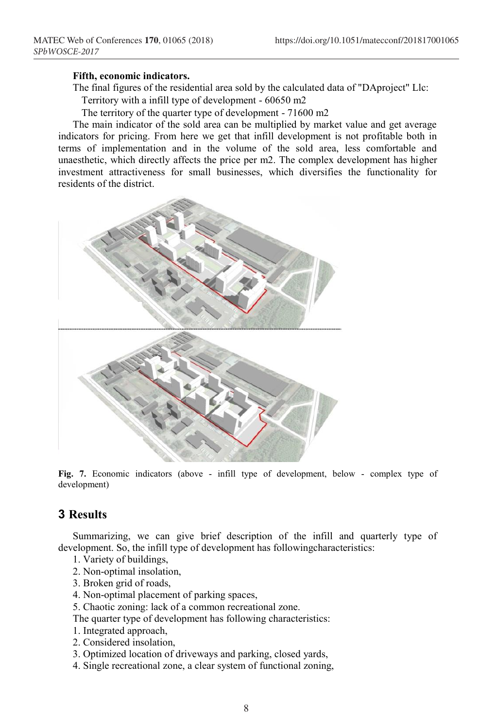#### **Fifth, economic indicators.**

The final figures of the residential area sold by the calculated data of "DAproject" Llc: Territory with a infill type of development - 60650 m2

The territory of the quarter type of development - 71600 m2

The main indicator of the sold area can be multiplied by market value and get average indicators for pricing. From here we get that infill development is not profitable both in terms of implementation and in the volume of the sold area, less comfortable and unaesthetic, which directly affects the price per m2. The complex development has higher investment attractiveness for small businesses, which diversifies the functionality for residents of the district.



**Fig. 7.** Economic indicators (above - infill type of development, below - complex type of development)

### **3 Results**

Summarizing, we can give brief description of the infill and quarterly type of development. So, the infill type of development has followingcharacteristics:

1. Variety of buildings,

- 2. Non-optimal insolation,
- 3. Broken grid of roads,
- 4. Non-optimal placement of parking spaces,
- 5. Chaotic zoning: lack of a common recreational zone.
- The quarter type of development has following characteristics:
- 1. Integrated approach,
- 2. Considered insolation,
- 3. Optimized location of driveways and parking, closed yards,
- 4. Single recreational zone, a clear system of functional zoning,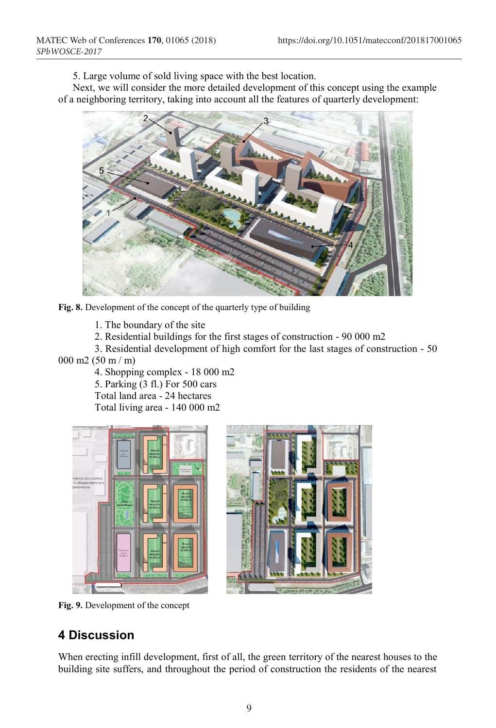5. Large volume of sold living space with the best location.

Next, we will consider the more detailed development of this concept using the example of a neighboring territory, taking into account all the features of quarterly development:



**Fig. 8.** Development of the concept of the quarterly type of building

1. The boundary of the site

2. Residential buildings for the first stages of construction - 90 000 m2

3. Residential development of high comfort for the last stages of construction - 50 000 m2 (50 m / m)

4. Shopping complex - 18 000 m2

5. Parking (3 fl.) For 500 cars

Total land area - 24 hectares

Total living area - 140 000 m2





**Fig. 9.** Development of the concept

# **4 Discussion**

When erecting infill development, first of all, the green territory of the nearest houses to the building site suffers, and throughout the period of construction the residents of the nearest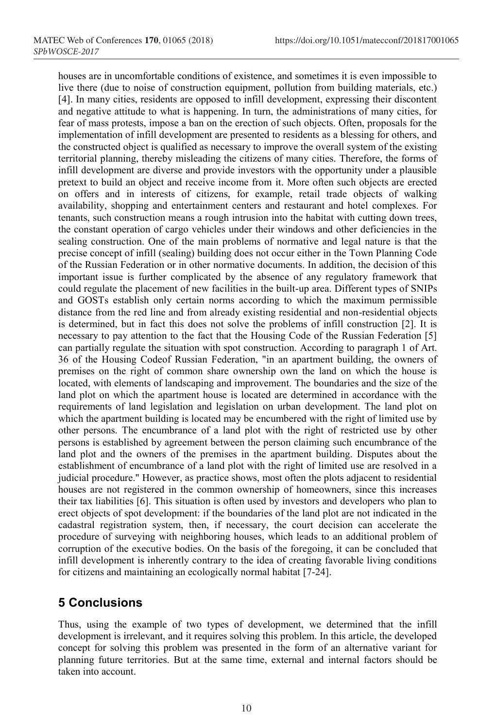houses are in uncomfortable conditions of existence, and sometimes it is even impossible to live there (due to noise of construction equipment, pollution from building materials, etc.) [4]. In many cities, residents are opposed to infill development, expressing their discontent and negative attitude to what is happening. In turn, the administrations of many cities, for fear of mass protests, impose a ban on the erection of such objects. Often, proposals for the implementation of infill development are presented to residents as a blessing for others, and the constructed object is qualified as necessary to improve the overall system of the existing territorial planning, thereby misleading the citizens of many cities. Therefore, the forms of infill development are diverse and provide investors with the opportunity under a plausible pretext to build an object and receive income from it. More often such objects are erected on offers and in interests of citizens, for example, retail trade objects of walking availability, shopping and entertainment centers and restaurant and hotel complexes. For tenants, such construction means a rough intrusion into the habitat with cutting down trees, the constant operation of cargo vehicles under their windows and other deficiencies in the sealing construction. One of the main problems of normative and legal nature is that the precise concept of infill (sealing) building does not occur either in the Town Planning Code of the Russian Federation or in other normative documents. In addition, the decision of this important issue is further complicated by the absence of any regulatory framework that could regulate the placement of new facilities in the built-up area. Different types of SNIPs and GOSTs establish only certain norms according to which the maximum permissible distance from the red line and from already existing residential and non-residential objects is determined, but in fact this does not solve the problems of infill construction [2]. It is necessary to pay attention to the fact that the Housing Code of the Russian Federation [5] can partially regulate the situation with spot construction. According to paragraph 1 of Art. 36 of the Housing Codeof Russian Federation, "in an apartment building, the owners of premises on the right of common share ownership own the land on which the house is located, with elements of landscaping and improvement. The boundaries and the size of the land plot on which the apartment house is located are determined in accordance with the requirements of land legislation and legislation on urban development. The land plot on which the apartment building is located may be encumbered with the right of limited use by other persons. The encumbrance of a land plot with the right of restricted use by other persons is established by agreement between the person claiming such encumbrance of the land plot and the owners of the premises in the apartment building. Disputes about the establishment of encumbrance of a land plot with the right of limited use are resolved in a judicial procedure." However, as practice shows, most often the plots adjacent to residential houses are not registered in the common ownership of homeowners, since this increases their tax liabilities [6]. This situation is often used by investors and developers who plan to erect objects of spot development: if the boundaries of the land plot are not indicated in the cadastral registration system, then, if necessary, the court decision can accelerate the procedure of surveying with neighboring houses, which leads to an additional problem of corruption of the executive bodies. On the basis of the foregoing, it can be concluded that infill development is inherently contrary to the idea of creating favorable living conditions for citizens and maintaining an ecologically normal habitat [7-24].

# **5 Conclusions**

Thus, using the example of two types of development, we determined that the infill development is irrelevant, and it requires solving this problem. In this article, the developed concept for solving this problem was presented in the form of an alternative variant for planning future territories. But at the same time, external and internal factors should be taken into account.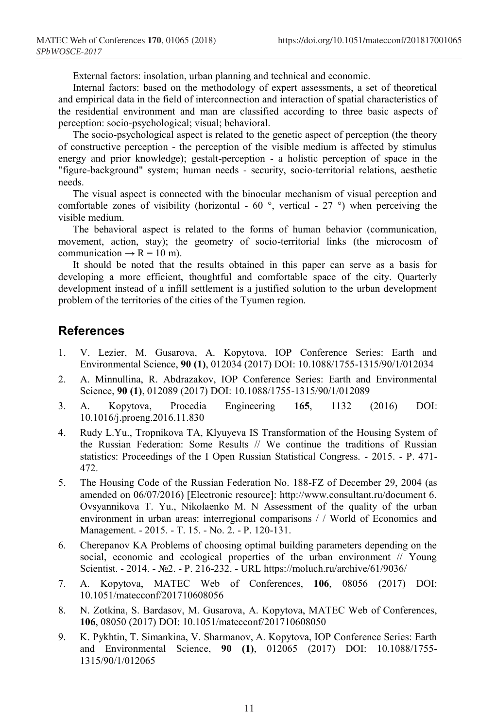External factors: insolation, urban planning and technical and economic.

Internal factors: based on the methodology of expert assessments, a set of theoretical and empirical data in the field of interconnection and interaction of spatial characteristics of the residential environment and man are classified according to three basic aspects of perception: socio-psychological; visual; behavioral.

The socio-psychological aspect is related to the genetic aspect of perception (the theory of constructive perception - the perception of the visible medium is affected by stimulus energy and prior knowledge); gestalt-perception - a holistic perception of space in the "figure-background" system; human needs - security, socio-territorial relations, aesthetic needs.

The visual aspect is connected with the binocular mechanism of visual perception and comfortable zones of visibility (horizontal -  $60^\circ$ , vertical -  $27^\circ$ ) when perceiving the visible medium.

The behavioral aspect is related to the forms of human behavior (communication, movement, action, stay); the geometry of socio-territorial links (the microcosm of communication  $\rightarrow$  R = 10 m).

It should be noted that the results obtained in this paper can serve as a basis for developing a more efficient, thoughtful and comfortable space of the city. Quarterly development instead of a infill settlement is a justified solution to the urban development problem of the territories of the cities of the Tyumen region.

## **References**

- 1. V. Lezier, M. Gusarova, A. Kopytova, IOP Conference Series: Earth and Environmental Science, **90 (1)**, 012034 (2017) DOI: 10.1088/1755-1315/90/1/012034
- 2. A. Minnullina, R. Abdrazakov, IOP Conference Series: Earth and Environmental Science, **90 (1)**, 012089 (2017) DOI: 10.1088/1755-1315/90/1/012089
- 3. А. Kopytova, Procedia Engineering **165**, 1132 (2016) DOI: 10.1016/j.proeng.2016.11.830
- 4. Rudy L.Yu., Tropnikova TA, Klyuyeva IS Transformation of the Housing System of the Russian Federation: Some Results // We continue the traditions of Russian statistics: Proceedings of the I Open Russian Statistical Congress. - 2015. - P. 471- 472.
- 5. The Housing Code of the Russian Federation No. 188-FZ of December 29, 2004 (as amended on 06/07/2016) [Electronic resource]: http://www.consultant.ru/document 6. Ovsyannikova T. Yu., Nikolaenko M. N Assessment of the quality of the urban environment in urban areas: interregional comparisons / / World of Economics and Management. - 2015. - T. 15. - No. 2. - P. 120-131.
- 6. Cherepanov KA Problems of choosing optimal building parameters depending on the social, economic and ecological properties of the urban environment // Young Scientist. - 2014. - №2. - P. 216-232. - URL https://moluch.ru/archive/61/9036/
- 7. A. Kopytova, MATEC Web of Conferences, **106**, 08056 (2017) DOI: 10.1051/matecconf/201710608056
- 8. N. Zotkina, S. Bardasov, M. Gusarova, A. Kopytova, MATEC Web of Conferences, **106**, 08050 (2017) DOI: 10.1051/matecconf/201710608050
- 9. K. Pykhtin, T. Simankina, V. Sharmanov, A. Kopytova, IOP Conference Series: Earth and Environmental Science, **90 (1)**, 012065 (2017) DOI: 10.1088/1755- 1315/90/1/012065